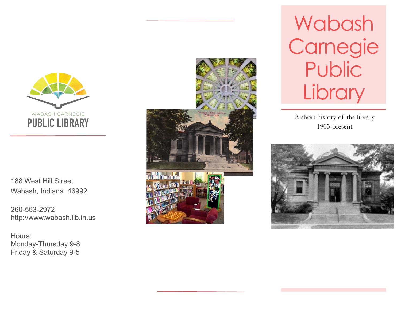

188 West Hill Street Wabash, Indiana 46992

260 -563 -2972 http://www.wabash.lib.in.us

Hours: Monday -Thursday 9 - 8 Friday & Saturday 9 - 5



Wabash Carnegie **Public Library** 

A short history of the library 1903 -present